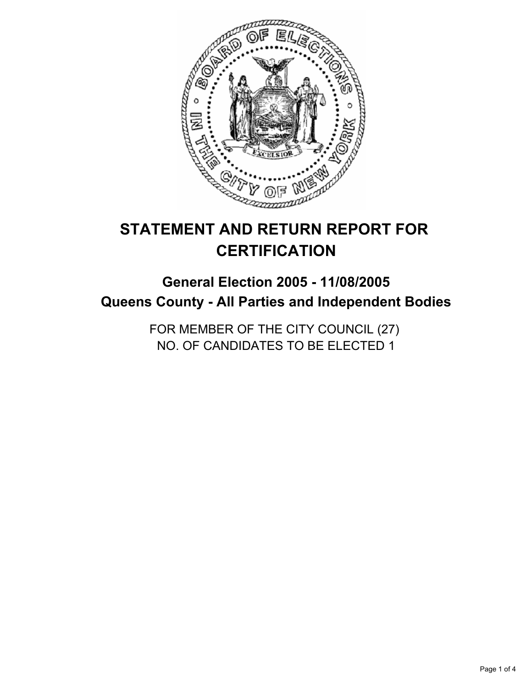

# **STATEMENT AND RETURN REPORT FOR CERTIFICATION**

## **General Election 2005 - 11/08/2005 Queens County - All Parties and Independent Bodies**

FOR MEMBER OF THE CITY COUNCIL (27) NO. OF CANDIDATES TO BE ELECTED 1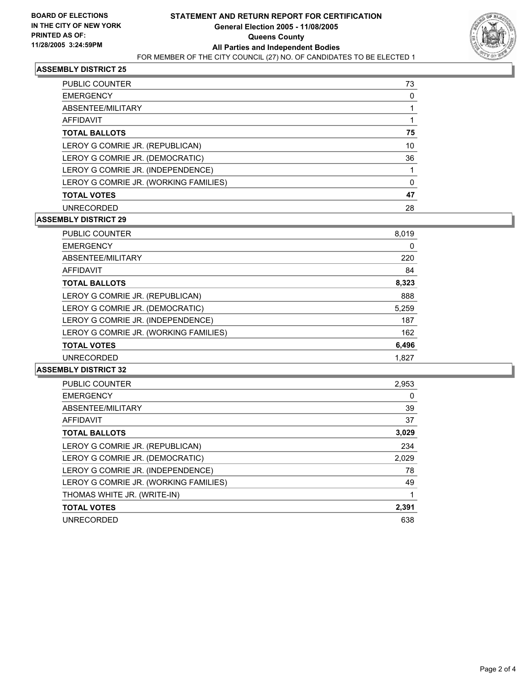

#### **ASSEMBLY DISTRICT 25**

| <b>PUBLIC COUNTER</b>                 | 73 |
|---------------------------------------|----|
| <b>EMERGENCY</b>                      |    |
| ABSENTEE/MILITARY                     |    |
| AFFIDAVIT                             |    |
| <b>TOTAL BALLOTS</b>                  | 75 |
| LEROY G COMRIE JR. (REPUBLICAN)       | 10 |
| LEROY G COMRIE JR. (DEMOCRATIC)       | 36 |
| LEROY G COMRIE JR. (INDEPENDENCE)     |    |
| LEROY G COMRIE JR. (WORKING FAMILIES) |    |
| <b>TOTAL VOTES</b>                    | 47 |
| <b>UNRECORDED</b>                     | 28 |

#### **ASSEMBLY DISTRICT 29**

| PUBLIC COUNTER                        | 8,019 |
|---------------------------------------|-------|
| <b>EMERGENCY</b>                      | 0     |
| ABSENTEE/MILITARY                     | 220   |
| AFFIDAVIT                             | 84    |
| <b>TOTAL BALLOTS</b>                  | 8,323 |
| LEROY G COMRIE JR. (REPUBLICAN)       | 888   |
| LEROY G COMRIE JR. (DEMOCRATIC)       | 5,259 |
| LEROY G COMRIE JR. (INDEPENDENCE)     | 187   |
| LEROY G COMRIE JR. (WORKING FAMILIES) | 162   |
| <b>TOTAL VOTES</b>                    | 6,496 |
| <b>UNRECORDED</b>                     | 1,827 |
|                                       |       |

#### **ASSEMBLY DISTRICT 32**

| <b>PUBLIC COUNTER</b>                 | 2,953 |
|---------------------------------------|-------|
| <b>EMERGENCY</b>                      | 0     |
| ABSENTEE/MILITARY                     | 39    |
| AFFIDAVIT                             | 37    |
| <b>TOTAL BALLOTS</b>                  | 3,029 |
| LEROY G COMRIE JR. (REPUBLICAN)       | 234   |
| LEROY G COMRIE JR. (DEMOCRATIC)       | 2,029 |
| LEROY G COMRIE JR. (INDEPENDENCE)     | 78    |
| LEROY G COMRIE JR. (WORKING FAMILIES) | 49    |
| THOMAS WHITE JR. (WRITE-IN)           |       |
| <b>TOTAL VOTES</b>                    | 2,391 |
| <b>UNRECORDED</b>                     | 638   |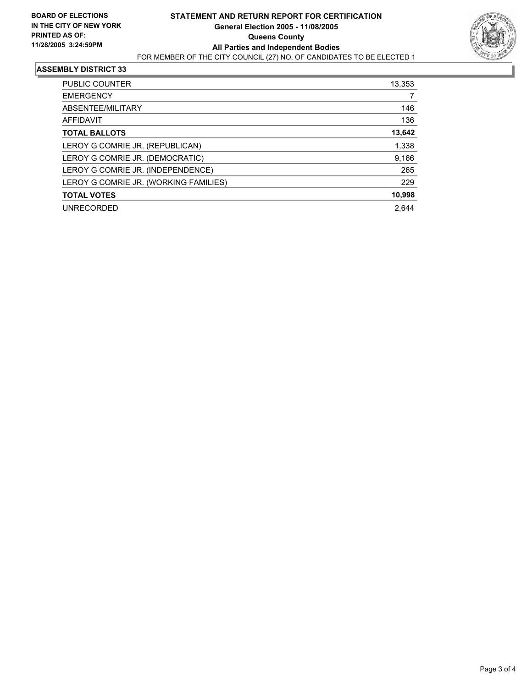

#### **ASSEMBLY DISTRICT 33**

| <b>PUBLIC COUNTER</b>                 | 13,353 |
|---------------------------------------|--------|
| <b>EMERGENCY</b>                      |        |
| ABSENTEE/MILITARY                     | 146    |
| <b>AFFIDAVIT</b>                      | 136    |
| <b>TOTAL BALLOTS</b>                  | 13,642 |
| LEROY G COMRIE JR. (REPUBLICAN)       | 1,338  |
| LEROY G COMRIE JR. (DEMOCRATIC)       | 9,166  |
| LEROY G COMRIE JR. (INDEPENDENCE)     | 265    |
| LEROY G COMRIE JR. (WORKING FAMILIES) | 229    |
| <b>TOTAL VOTES</b>                    | 10,998 |
| <b>UNRECORDED</b>                     | 2.644  |
|                                       |        |